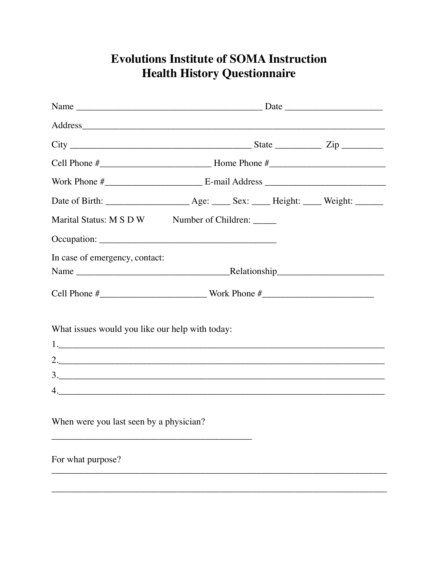## **Evolutions Institute of SOMA Instruction Health History Questionnaire**

| Marital Status: M S D W Number of Children: _____ |  |  |  |  |  |
|---------------------------------------------------|--|--|--|--|--|
|                                                   |  |  |  |  |  |
| In case of emergency, contact:                    |  |  |  |  |  |
|                                                   |  |  |  |  |  |
| What issues would you like our help with today:   |  |  |  |  |  |
| 2.                                                |  |  |  |  |  |
| 3.                                                |  |  |  |  |  |
| 4.                                                |  |  |  |  |  |
| When were you last seen by a physician?           |  |  |  |  |  |
| For what purpose?                                 |  |  |  |  |  |
|                                                   |  |  |  |  |  |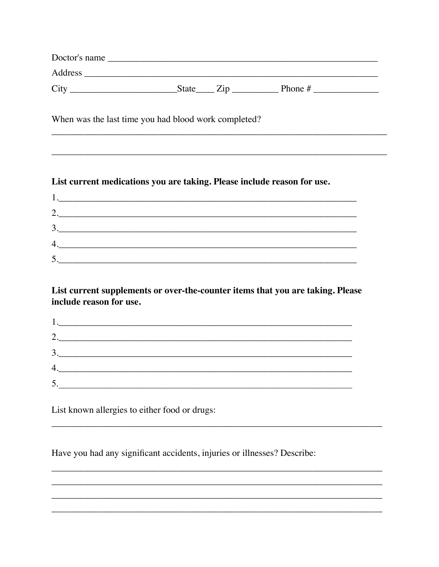| Doctor's name |              |           |
|---------------|--------------|-----------|
| Address       |              |           |
| Cit           | <b>State</b> | Phone $#$ |

When was the last time you had blood work completed?

## List current medications you are taking. Please include reason for use.

| $\gamma$<br>3.                                |
|-----------------------------------------------|
|                                               |
|                                               |
| <u> 1980 - Andrea Andrew Maria (h. 1980).</u> |
|                                               |

List current supplements or over-the-counter items that you are taking. Please include reason for use.

| 2.                                      |  |
|-----------------------------------------|--|
| $\begin{array}{c} 3. \ \ \ \end{array}$ |  |
| 4.                                      |  |
|                                         |  |
|                                         |  |

List known allergies to either food or drugs:

Have you had any significant accidents, injuries or illnesses? Describe: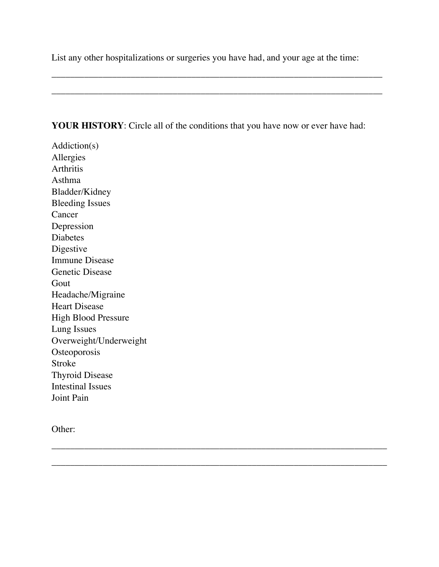List any other hospitalizations or surgeries you have had, and your age at the time:

\_\_\_\_\_\_\_\_\_\_\_\_\_\_\_\_\_\_\_\_\_\_\_\_\_\_\_\_\_\_\_\_\_\_\_\_\_\_\_\_\_\_\_\_\_\_\_\_\_\_\_\_\_\_\_\_\_\_\_\_\_\_\_\_\_\_\_\_\_\_\_

\_\_\_\_\_\_\_\_\_\_\_\_\_\_\_\_\_\_\_\_\_\_\_\_\_\_\_\_\_\_\_\_\_\_\_\_\_\_\_\_\_\_\_\_\_\_\_\_\_\_\_\_\_\_\_\_\_\_\_\_\_\_\_\_\_\_\_\_\_\_\_

\_\_\_\_\_\_\_\_\_\_\_\_\_\_\_\_\_\_\_\_\_\_\_\_\_\_\_\_\_\_\_\_\_\_\_\_\_\_\_\_\_\_\_\_\_\_\_\_\_\_\_\_\_\_\_\_\_\_\_\_\_\_\_\_\_\_\_\_\_\_\_\_

\_\_\_\_\_\_\_\_\_\_\_\_\_\_\_\_\_\_\_\_\_\_\_\_\_\_\_\_\_\_\_\_\_\_\_\_\_\_\_\_\_\_\_\_\_\_\_\_\_\_\_\_\_\_\_\_\_\_\_\_\_\_\_\_\_\_\_\_\_\_\_\_

## **YOUR HISTORY**: Circle all of the conditions that you have now or ever have had:

Addiction(s) Allergies Arthritis Asthma Bladder/Kidney Bleeding Issues Cancer Depression Diabetes Digestive Immune Disease Genetic Disease Gout Headache/Migraine Heart Disease High Blood Pressure Lung Issues Overweight/Underweight **Osteoporosis** Stroke Thyroid Disease Intestinal Issues Joint Pain

Other: